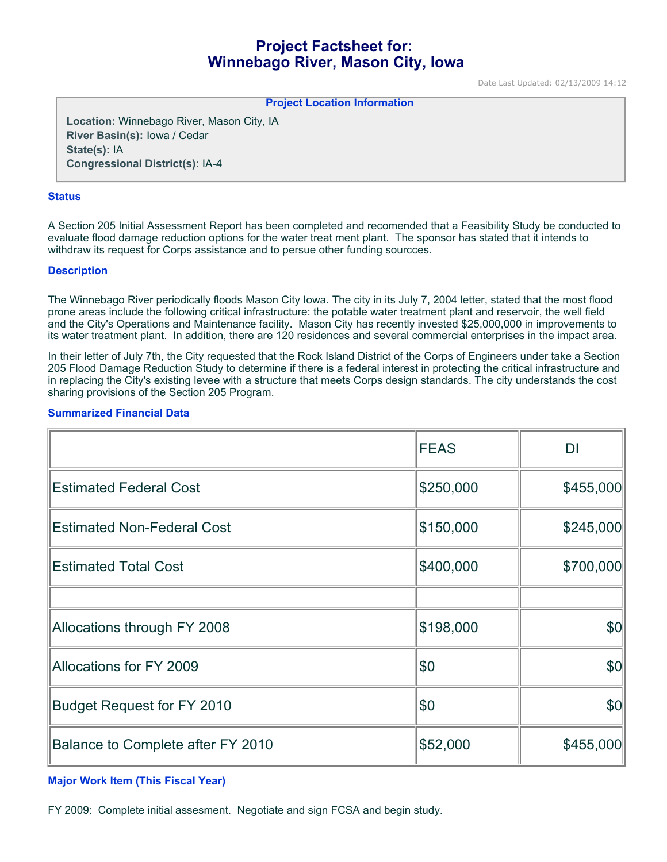# **Project Factsheet for: Winnebago River, Mason City, Iowa**

Date Last Updated: 02/13/2009 14:12

**Project Location Information** 

**Location:** Winnebago River, Mason City, IA **River Basin(s):** Iowa / Cedar **State(s):** IA **Congressional District(s):** IA-4

#### **Status**

A Section 205 Initial Assessment Report has been completed and recomended that a Feasibility Study be conducted to evaluate flood damage reduction options for the water treat ment plant. The sponsor has stated that it intends to withdraw its request for Corps assistance and to persue other funding sourcces.

#### **Description**

The Winnebago River periodically floods Mason City Iowa. The city in its July 7, 2004 letter, stated that the most flood prone areas include the following critical infrastructure: the potable water treatment plant and reservoir, the well field and the City's Operations and Maintenance facility. Mason City has recently invested \$25,000,000 in improvements to its water treatment plant. In addition, there are 120 residences and several commercial enterprises in the impact area.

In their letter of July 7th, the City requested that the Rock Island District of the Corps of Engineers under take a Section 205 Flood Damage Reduction Study to determine if there is a federal interest in protecting the critical infrastructure and in replacing the City's existing levee with a structure that meets Corps design standards. The city understands the cost sharing provisions of the Section 205 Program.

#### **Summarized Financial Data**

|                                   | <b>FEAS</b> | DI        |
|-----------------------------------|-------------|-----------|
| <b>Estimated Federal Cost</b>     | \$250,000   | \$455,000 |
| <b>Estimated Non-Federal Cost</b> | \$150,000   | \$245,000 |
| <b>Estimated Total Cost</b>       | \$400,000   | \$700,000 |
|                                   |             |           |
| Allocations through FY 2008       | \$198,000   | \$0       |
| Allocations for FY 2009           | \$0         | \$0       |
| <b>Budget Request for FY 2010</b> | \$0         | \$0       |
| Balance to Complete after FY 2010 | \$52,000    | \$455,000 |

#### **Major Work Item (This Fiscal Year)**

FY 2009: Complete initial assesment. Negotiate and sign FCSA and begin study.